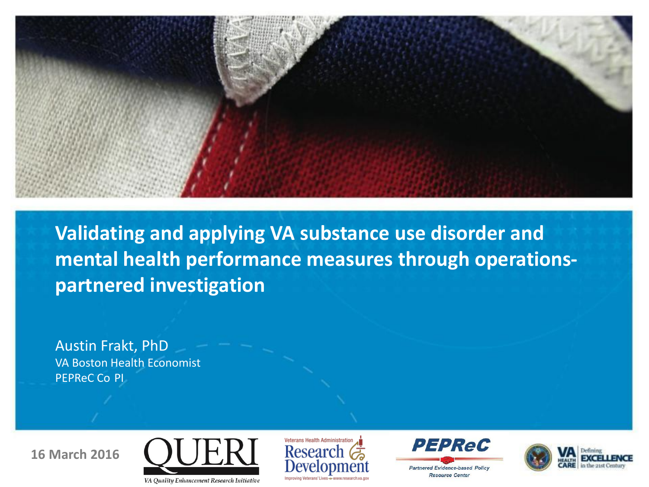

**Validating and applying VA substance use disorder and mental health performance measures through operationspartnered investigation** 

 Austin Frakt, PhD VA Boston Health Economist PEPReC Co PI







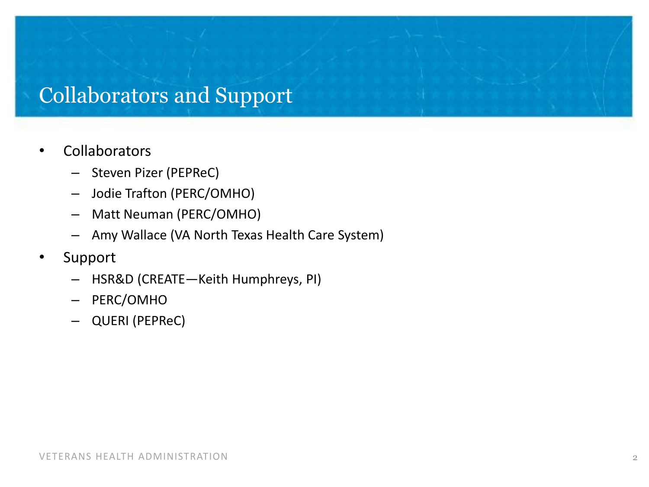### Collaborators and Support

#### • Collaborators

- Steven Pizer (PEPReC)
- Jodie Trafton (PERC/OMHO)
- Matt Neuman (PERC/OMHO)
- Amy Wallace (VA North Texas Health Care System)
- **Support** 
	- HSR&D (CREATE—Keith Humphreys, PI)
	- PERC/OMHO
	- QUERI (PEPReC)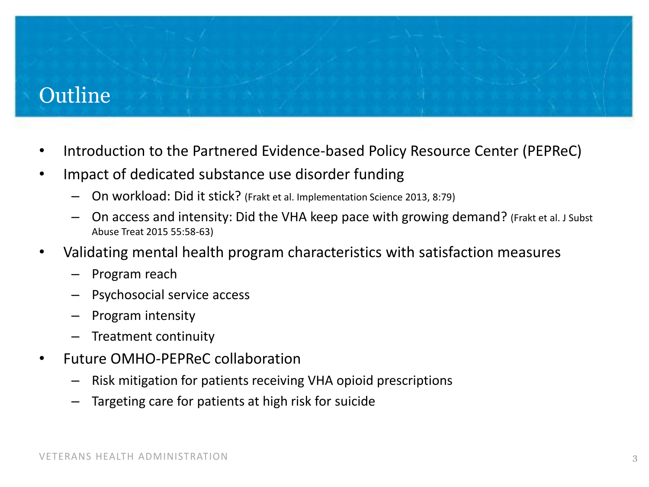## Outline

- Introduction to the Partnered Evidence-based Policy Resource Center (PEPReC)
- Impact of dedicated substance use disorder funding
	- On workload: Did it stick? (Frakt et al. Implementation Science 2013, 8:79)
	- $-$  On access and intensity: Did the VHA keep pace with growing demand? (Frakt et al. J Subst Abuse Treat 2015 55:58-63)
- • Validating mental health program characteristics with satisfaction measures
	- Program reach
	- Psychosocial service access
	- Program intensity
	- Treatment continuity
- Future OMHO-PEPReC collaboration
	- Risk mitigation for patients receiving VHA opioid prescriptions
	- Targeting care for patients at high risk for suicide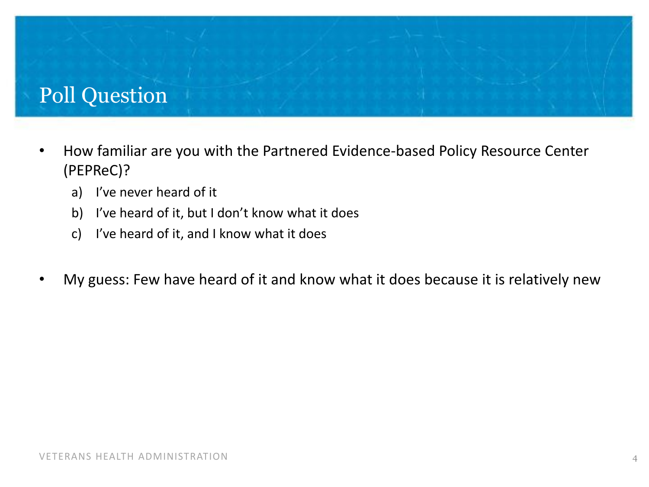## Poll Question

- How familiar are you with the Partnered Evidence-based Policy Resource Center (PEPReC)?
	- a) I've never heard of it
	- b) I've heard of it, but I don't know what it does
	- c) I've heard of it, and I know what it does
- My guess: Few have heard of it and know what it does because it is relatively new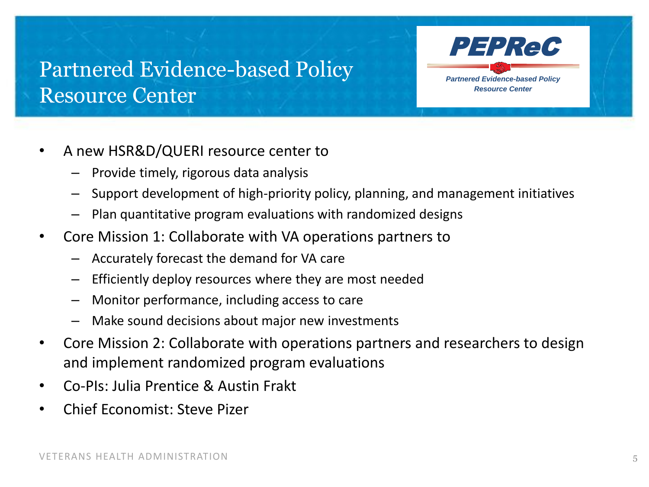## Partnered Evidence-based Policy Resource Center

- • A new HSR&D/QUERI resource center to
	- Provide timely, rigorous data analysis
	- $-$  Support development of high-priority policy, planning, and management initiatives

PEPReC

*Partnered Evidence-based Policy Resource Center* 

- $-$  Plan quantitative program evaluations with randomized designs
- Core Mission 1: Collaborate with VA operations partners to
	- Accurately forecast the demand for VA care
	- $-$  Efficiently deploy resources where they are most needed
	- Monitor performance, including access to care
	- Make sound decisions about major new investments
- Core Mission 2: Collaborate with operations partners and researchers to design and implement randomized program evaluations
- Co-PIs: Julia Prentice & Austin Frakt
- • Chief Economist: Steve Pizer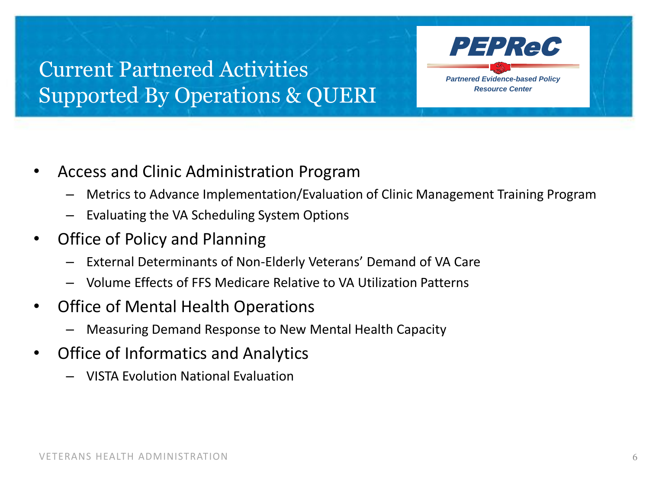## Current Partnered Activities *Partnered Evidence-based Policy*  **Supported By Operations & QUERI** Resource Center



- Access and Clinic Administration Program
	- Metrics to Advance Implementation/Evaluation of Clinic Management Training Program
	- Evaluating the VA Scheduling System Options
- • Office of Policy and Planning
	- External Determinants of Non-Elderly Veterans' Demand of VA Care
	- Volume Effects of FFS Medicare Relative to VA Utilization Patterns
- Office of Mental Health Operations
	- Measuring Demand Response to New Mental Health Capacity
- • Office of Informatics and Analytics
	- VISTA Evolution National Evaluation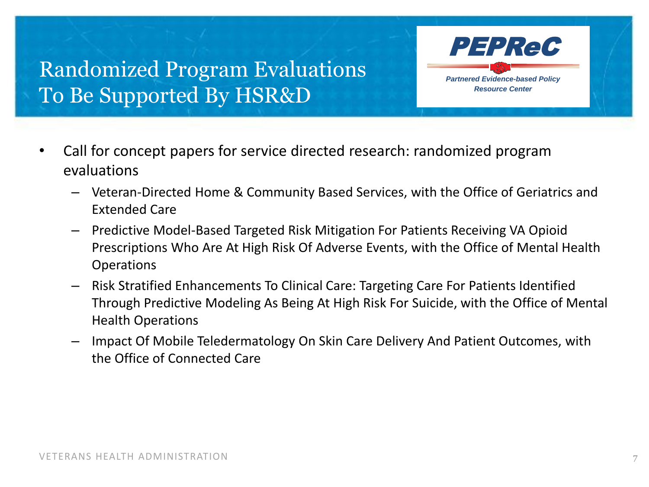## Randomized Program Evaluations To Be Supported By HSR&D

- Call for concept papers for service directed research: randomized program evaluations
	- – Veteran-Directed Home & Community Based Services, with the Office of Geriatrics and Extended Care

PEPReC

*Partnered Evidence-based Policy Resource Center* 

- $-$  Predictive Model-Based Targeted Risk Mitigation For Patients Receiving VA Opioid Prescriptions Who Are At High Risk Of Adverse Events, with the Office of Mental Health **Operations**
- Risk Stratified Enhancements To Clinical Care: Targeting Care For Patients Identified Through Predictive Modeling As Being At High Risk For Suicide, with the Office of Mental Health Operations
- Impact Of Mobile Teledermatology On Skin Care Delivery And Patient Outcomes, with the Office of Connected Care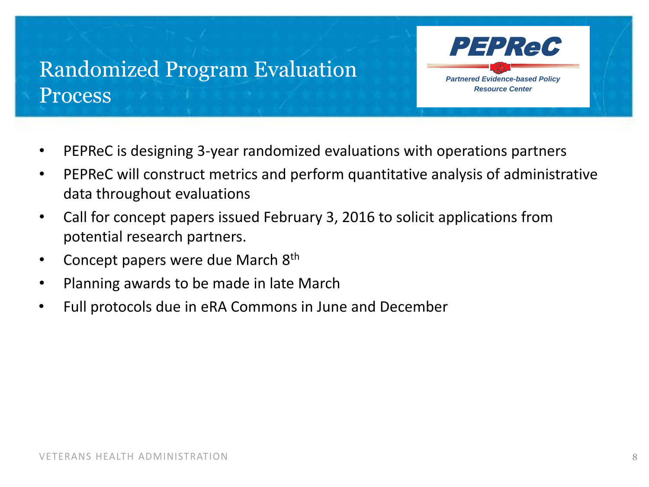## Randomized Program Evaluation **Process**

- • PEPReC is designing 3-year randomized evaluations with operations partners
- • PEPReC will construct metrics and perform quantitative analysis of administrative data throughout evaluations
- Call for concept papers issued February 3, 2016 to solicit applications from potential research partners.
- Concept papers were due March  $8<sup>th</sup>$
- Planning awards to be made in late March
- • Full protocols due in eRA Commons in June and December

PEPReC

*Partnered Evidence-based Policy Resource Center*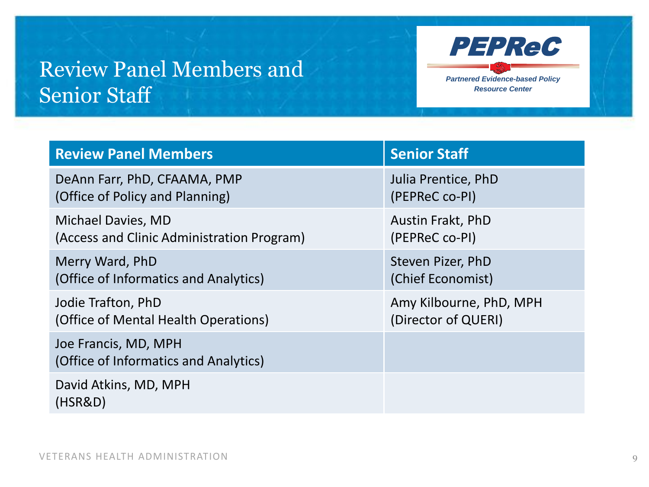## Review Panel Members and **Senior Staff** *Resource Center*



| <b>Review Panel Members</b>                                   | <b>Senior Staff</b>     |
|---------------------------------------------------------------|-------------------------|
| DeAnn Farr, PhD, CFAAMA, PMP                                  | Julia Prentice, PhD     |
| (Office of Policy and Planning)                               | (PEPReC co-PI)          |
| Michael Davies, MD                                            | Austin Frakt, PhD       |
| (Access and Clinic Administration Program)                    | (PEPReC co-PI)          |
| Merry Ward, PhD                                               | Steven Pizer, PhD       |
| (Office of Informatics and Analytics)                         | (Chief Economist)       |
| Jodie Trafton, PhD                                            | Amy Kilbourne, PhD, MPH |
| (Office of Mental Health Operations)                          | (Director of QUERI)     |
| Joe Francis, MD, MPH<br>(Office of Informatics and Analytics) |                         |
| David Atkins, MD, MPH<br>(HSR&D)                              |                         |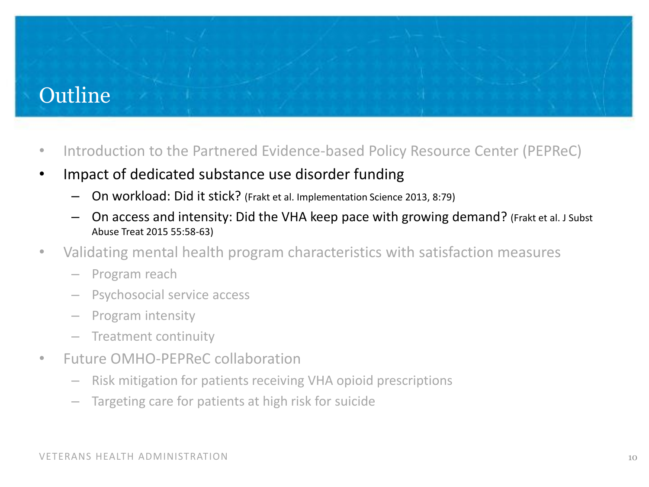## Outline

- Introduction to the Partnered Evidence-based Policy Resource Center (PEPReC)
- Impact of dedicated substance use disorder funding
	- On workload: Did it stick? (Frakt et al. Implementation Science 2013, 8:79)
	- $-$  On access and intensity: Did the VHA keep pace with growing demand? (Frakt et al. J Subst Abuse Treat 2015 55:58-63)
- • Validating mental health program characteristics with satisfaction measures
	- Program reach
	- Psychosocial service access
	- Program intensity
	- Treatment continuity
- Future OMHO-PEPReC collaboration
	- Risk mitigation for patients receiving VHA opioid prescriptions
	- Targeting care for patients at high risk for suicide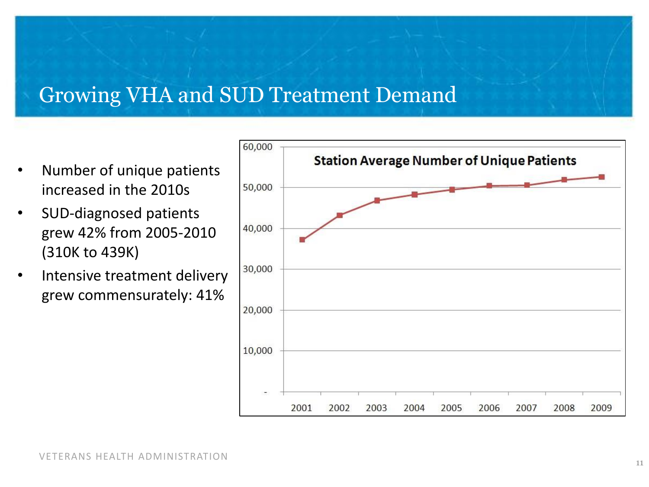### Growing VHA and SUD Treatment Demand

- Number of unique patients increased in the 2010s
- (310K to 439K) SUD-diagnosed patients grew 42% from 2005-2010
- Intensive treatment delivery grew commensurately: 41%

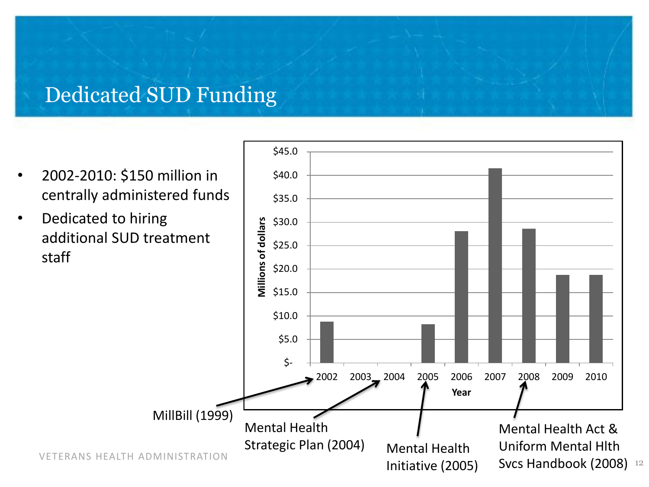#### Dedicated SUD Funding

- centrally administered funds 2002-2010: \$150 million in
- Dedicated to hiring additional SUD treatment staff

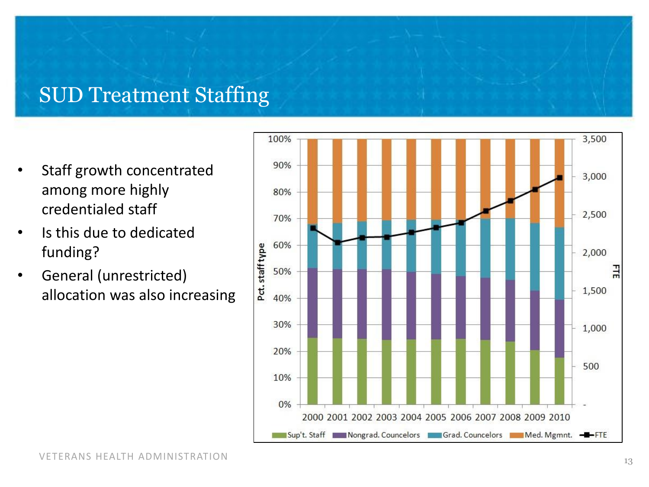#### SUD Treatment Staffing

- Staff growth concentrated among more highly credentialed staff
- Is this due to dedicated funding?
- General (unrestricted) allocation was also increasing

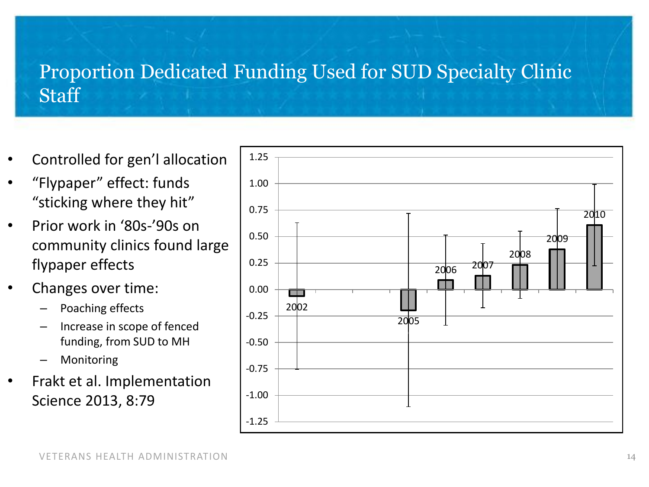### Proportion Dedicated Funding Used for SUD Specialty Clinic **Staff**

- • Controlled for gen'l allocation
- "Flypaper" effect: funds "sticking where they hit"
- Prior work in '80s-'90s on community clinics found large flypaper effects
- Changes over time:
	- Poaching effects
	- Increase in scope of fenced funding, from SUD to MH
	- **Monitoring**
- Science 2013, 8:79 Frakt et al. Implementation

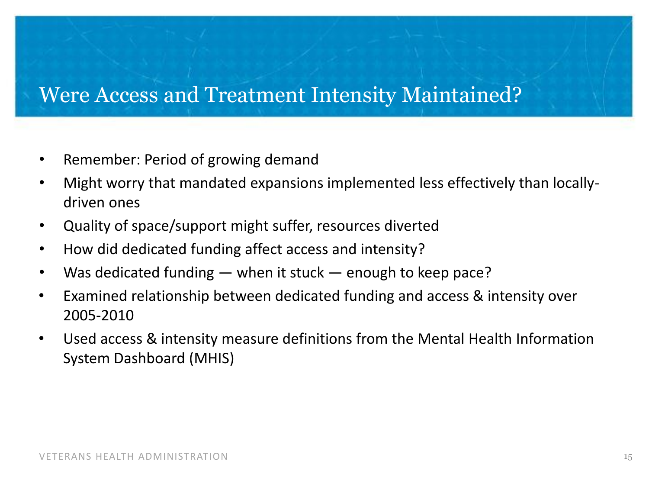#### Were Access and Treatment Intensity Maintained?

- • Remember: Period of growing demand
- Might worry that mandated expansions implemented less effectively than locallydriven ones
- • Quality of space/support might suffer, resources diverted
- • How did dedicated funding affect access and intensity?
- Was dedicated funding when it stuck enough to keep pace?
- • Examined relationship between dedicated funding and access & intensity over 2005-2010
- Used access & intensity measure definitions from the Mental Health Information System Dashboard (MHIS)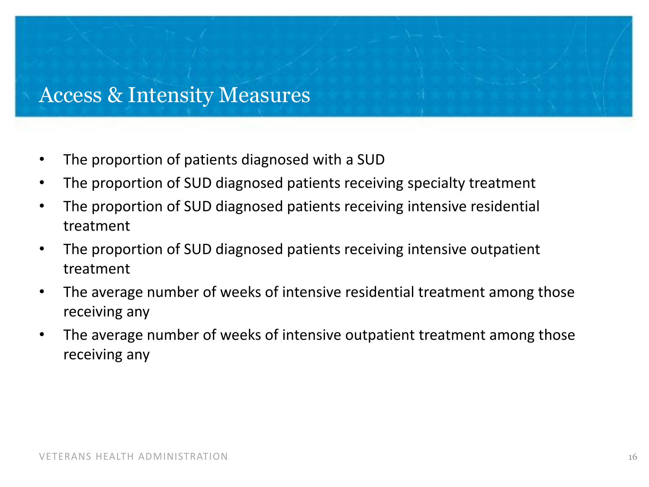#### Access & Intensity Measures

- The proportion of patients diagnosed with a SUD
- The proportion of SUD diagnosed patients receiving specialty treatment
- The proportion of SUD diagnosed patients receiving intensive residential treatment
- The proportion of SUD diagnosed patients receiving intensive outpatient treatment
- The average number of weeks of intensive residential treatment among those receiving any
- receiving any • The average number of weeks of intensive outpatient treatment among those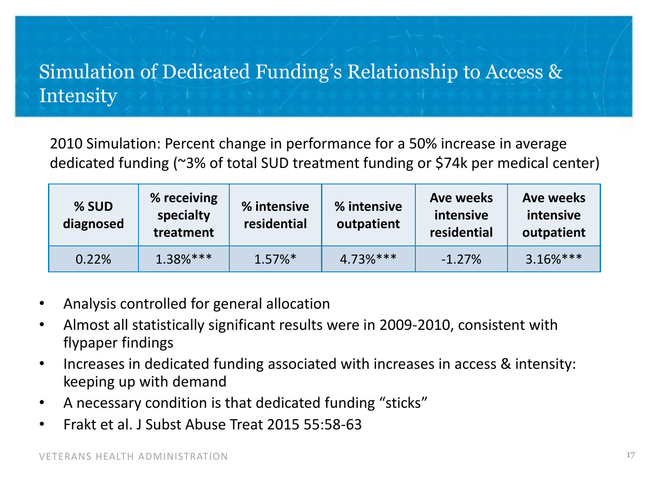## Simulation of Dedicated Funding's Relationship to Access & Intensity

 dedicated funding (~3% of total SUD treatment funding or \$74k per medical center) 2010 Simulation: Percent change in performance for a 50% increase in average

| % SUD<br>diagnosed | % receiving<br>specialty<br>treatment | % intensive<br>residential | % intensive<br>outpatient | Ave weeks<br>intensive<br>residential | <b>Ave weeks</b><br>intensive<br>outpatient |
|--------------------|---------------------------------------|----------------------------|---------------------------|---------------------------------------|---------------------------------------------|
| 0.22%              | $1.38%***$                            | $1.57\%$ <sup>*</sup>      | $4.73%***$                | $-1.27%$                              | $3.16%$ ***                                 |

- • Analysis controlled for general allocation
- • Almost all statistically significant results were in 2009-2010, consistent with flypaper findings
- Increases in dedicated funding associated with increases in access & intensity: keeping up with demand
- A necessary condition is that dedicated funding "sticks"
- Frakt et al. J Subst Abuse Treat 2015 55:58-63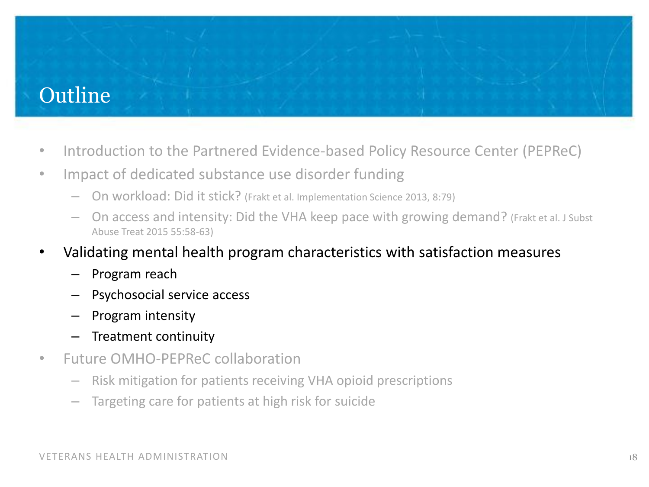## **Outline**

- Introduction to the Partnered Evidence-based Policy Resource Center (PEPReC)
- Impact of dedicated substance use disorder funding
	- On workload: Did it stick? (Frakt et al. Implementation Science 2013, 8:79)
	- On access and intensity: Did the VHA keep pace with growing demand? (Frakt et al. J Subst Abuse Treat 2015 55:58-63)
- • Validating mental health program characteristics with satisfaction measures
	- Program reach
	- Psychosocial service access
	- Program intensity
	- Treatment continuity
- Future OMHO-PEPReC collaboration
	- Risk mitigation for patients receiving VHA opioid prescriptions
	- Targeting care for patients at high risk for suicide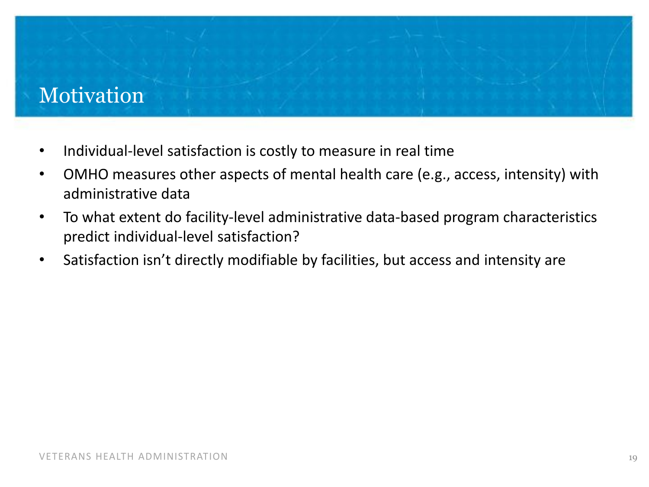## Motivation

- Individual-level satisfaction is costly to measure in real time
- OMHO measures other aspects of mental health care (e.g., access, intensity) with administrative data
- To what extent do facility-level administrative data-based program characteristics predict individual-level satisfaction?
- Satisfaction isn't directly modifiable by facilities, but access and intensity are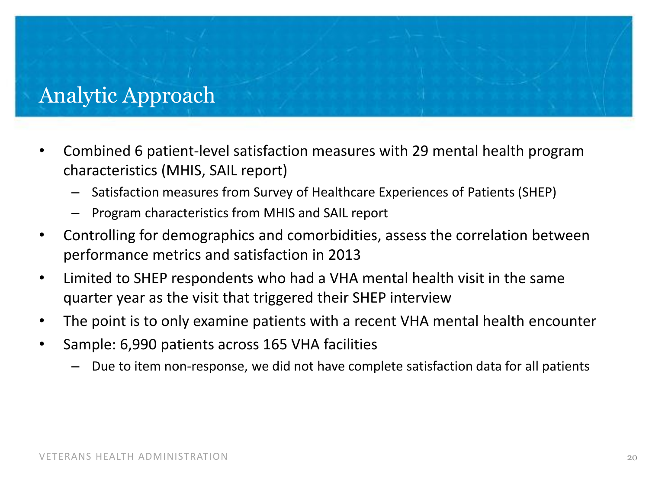#### Analytic Approach

- characteristics (MHIS, SAIL report) Combined 6 patient-level satisfaction measures with 29 mental health program
	- Satisfaction measures from Survey of Healthcare Experiences of Patients (SHEP)
	- Program characteristics from MHIS and SAIL report
- • Controlling for demographics and comorbidities, assess the correlation between performance metrics and satisfaction in 2013
- Limited to SHEP respondents who had a VHA mental health visit in the same quarter year as the visit that triggered their SHEP interview
- The point is to only examine patients with a recent VHA mental health encounter
- Sample: 6,990 patients across 165 VHA facilities
	- Due to item non-response, we did not have complete satisfaction data for all patients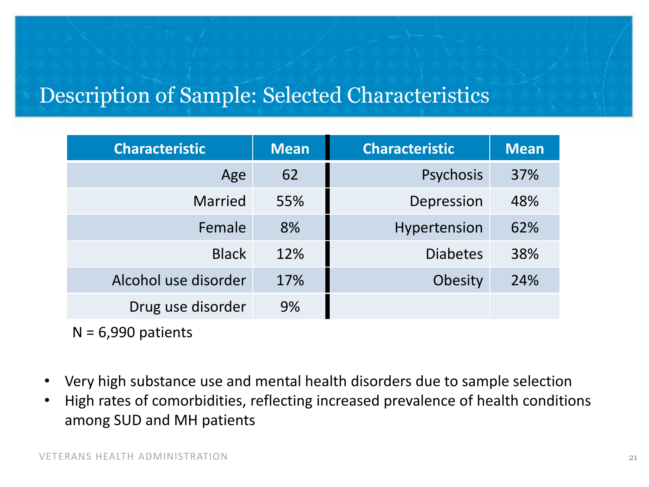### Description of Sample: Selected Characteristics

| <b>Characteristic</b> | <b>Mean</b> | <b>Characteristic</b> | <b>Mean</b> |
|-----------------------|-------------|-----------------------|-------------|
| Age                   | 62          | Psychosis             | 37%         |
| <b>Married</b>        | 55%         | Depression            | 48%         |
| Female                | 8%          | Hypertension          | 62%         |
| <b>Black</b>          | 12%         | <b>Diabetes</b>       | 38%         |
| Alcohol use disorder  | 17%         | Obesity               | 24%         |
| Drug use disorder     | 9%          |                       |             |

 $N = 6,990$  patients

- Very high substance use and mental health disorders due to sample selection
- among SUD and MH patients High rates of comorbidities, reflecting increased prevalence of health conditions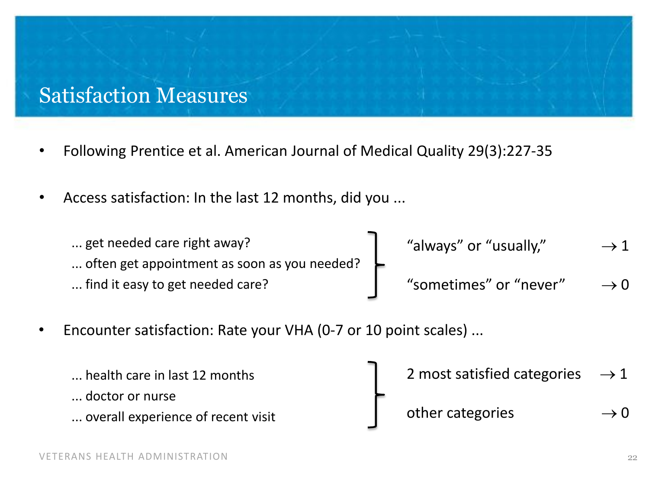#### Satisfaction Measures

- • Following Prentice et al. American Journal of Medical Quality 29(3):227-35
- Access satisfaction: In the last 12 months, did you ...

| get needed care right away?                  | "always" or "usually," | $\rightarrow$ 1 |
|----------------------------------------------|------------------------|-----------------|
| often get appointment as soon as you needed? |                        |                 |
| find it easy to get needed care?             | "sometimes" or "never" | $\rightarrow 0$ |

Encounter satisfaction: Rate your VHA (0-7 or 10 point scales) ...

| health care in last 12 months      | 2 most satisfied categories $\rightarrow$ 1 |                 |
|------------------------------------|---------------------------------------------|-----------------|
| doctor or nurse                    |                                             |                 |
| overall experience of recent visit | other categories                            | $\rightarrow 0$ |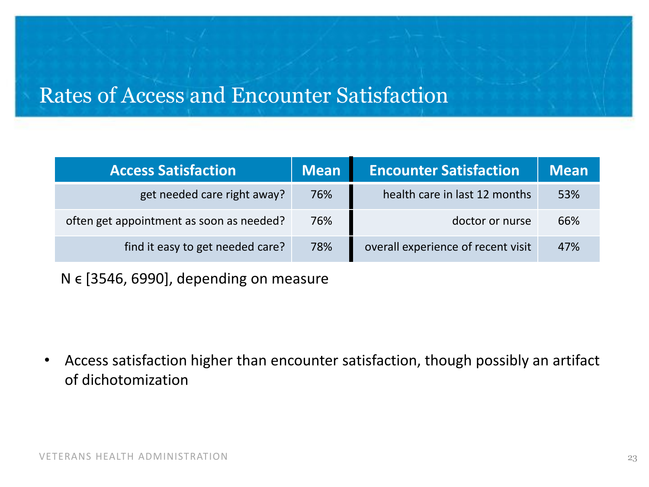### Rates of Access and Encounter Satisfaction

| <b>Access Satisfaction</b>               | <b>Mean</b> | <b>Encounter Satisfaction</b>      | <b>Mean</b> |
|------------------------------------------|-------------|------------------------------------|-------------|
| get needed care right away?              | 76%         | health care in last 12 months      | 53%         |
| often get appointment as soon as needed? | 76%         | doctor or nurse                    | 66%         |
| find it easy to get needed care?         | 78%         | overall experience of recent visit | 47%         |

 $N \in [3546, 6990]$ , depending on measure

• Access satisfaction higher than encounter satisfaction, though possibly an artifact of dichotomization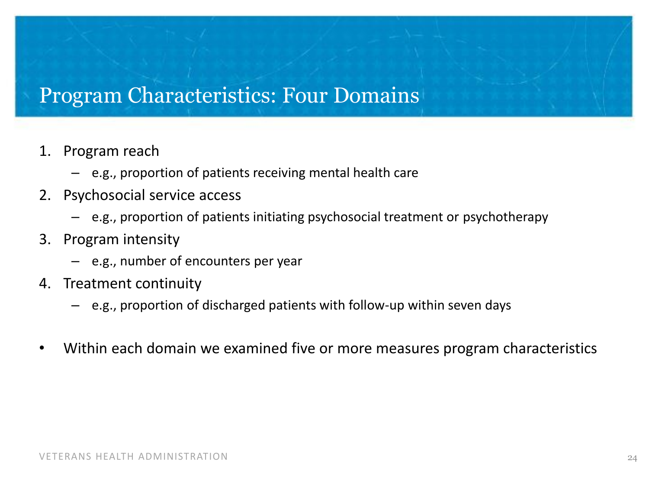#### Program Characteristics: Four Domains

- 1. Program reach
	- e.g., proportion of patients receiving mental health care
- 2. Psychosocial service access
	- e.g., proportion of patients initiating psychosocial treatment or psychotherapy
- 3. Program intensity
	- e.g., number of encounters per year
- 4. Treatment continuity
	- e.g., proportion of discharged patients with follow-up within seven days
- Within each domain we examined five or more measures program characteristics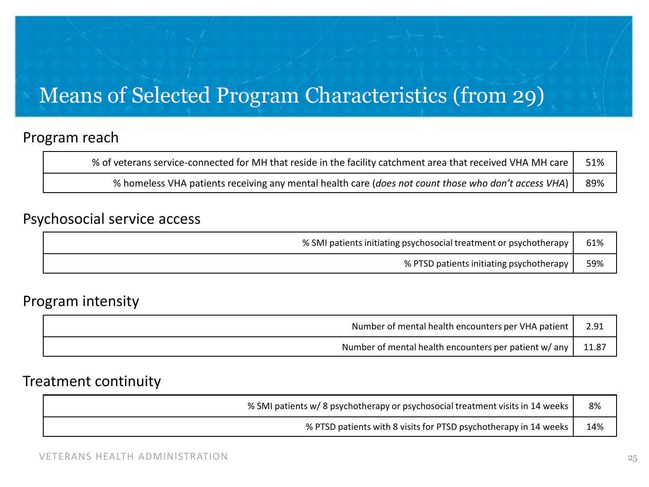## Means of Selected Program Characteristics (from 29)

#### Program reach

| % of veterans service-connected for MH that reside in the facility catchment area that received VHA MH care $ $ | 51% |
|-----------------------------------------------------------------------------------------------------------------|-----|
| % homeless VHA patients receiving any mental health care (does not count those who don't access VHA)            | 89% |

#### Psychosocial service access

| % SMI patients initiating psychosocial treatment or psychotherapy |                                          | 61% |
|-------------------------------------------------------------------|------------------------------------------|-----|
|                                                                   | % PTSD patients initiating psychotherapy | 59% |

#### Program intensity

| Number of mental health encounters per VHA patient    |       |
|-------------------------------------------------------|-------|
| Number of mental health encounters per patient w/ any | 11.87 |

#### Treatment continuity

| % SMI patients w/ 8 psychotherapy or psychosocial treatment visits in 14 weeks |     |
|--------------------------------------------------------------------------------|-----|
| % PTSD patients with 8 visits for PTSD psychotherapy in 14 weeks               | 14% |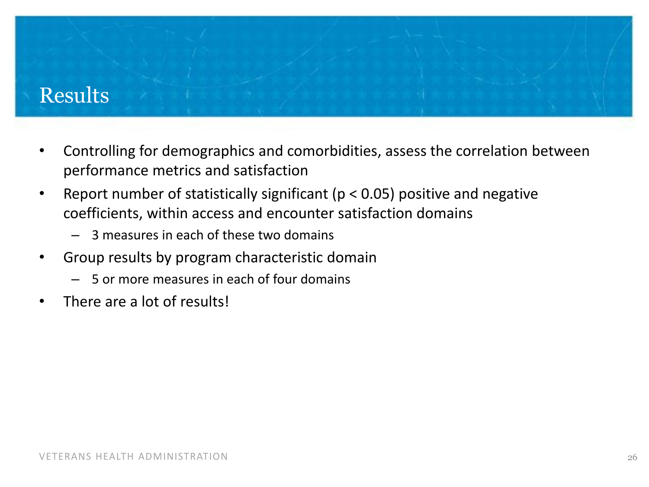#### Results

- • Controlling for demographics and comorbidities, assess the correlation between performance metrics and satisfaction
- Report number of statistically significant ( $p < 0.05$ ) positive and negative coefficients, within access and encounter satisfaction domains
	- $-$  3 measures in each of these two domains
- • Group results by program characteristic domain
	- 5 or more measures in each of four domains
- There are a lot of results!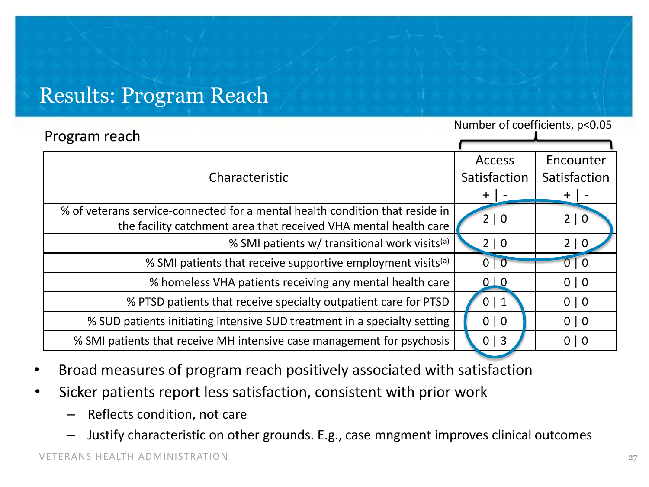### Results: Program Reach

| Program reach                                                                | Number of coefficients, p<0.05 |              |
|------------------------------------------------------------------------------|--------------------------------|--------------|
|                                                                              |                                |              |
|                                                                              | <b>Access</b>                  | Encounter    |
| Characteristic                                                               | Satisfaction                   | Satisfaction |
|                                                                              | $+$   $\cdot$                  | $+$          |
| % of veterans service-connected for a mental health condition that reside in | 2   0                          | 2   0        |
| the facility catchment area that received VHA mental health care             |                                |              |
| % SMI patients w/ transitional work visits <sup>(a)</sup>                    | $2 \mid 0$                     | 2   0        |
| % SMI patients that receive supportive employment visits <sup>(a)</sup>      | 0 0                            | 0   0        |
| % homeless VHA patients receiving any mental health care                     | 0 <sub>10</sub>                | 0   0        |
| % PTSD patients that receive specialty outpatient care for PTSD              | 0 1                            | 0   0        |
| % SUD patients initiating intensive SUD treatment in a specialty setting     | 0   0                          | 0   0        |
| % SMI patients that receive MH intensive case management for psychosis       | $0 \mid 3$                     | 0   0        |
|                                                                              |                                |              |

- Broad measures of program reach positively associated with satisfaction
- Sicker patients report less satisfaction, consistent with prior work
	- Reflects condition, not care
	- Justify characteristic on other grounds. E.g., case mngment improves clinical outcomes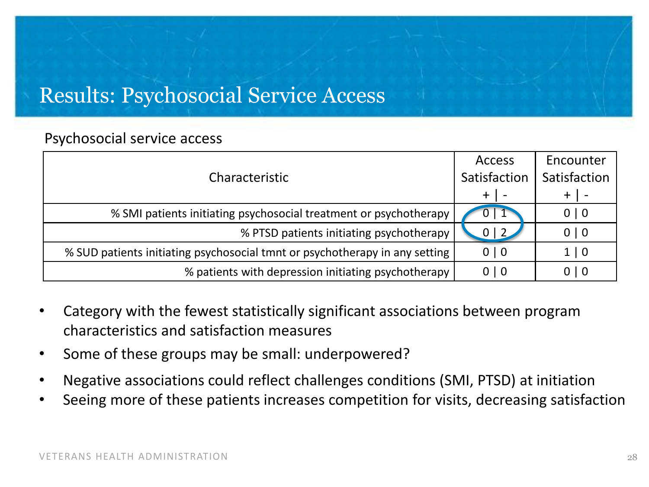## Results: Psychosocial Service Access

#### Psychosocial service access

| Characteristic                                                              | <b>Access</b><br>Satisfaction | Encounter<br>Satisfaction |
|-----------------------------------------------------------------------------|-------------------------------|---------------------------|
|                                                                             | +                             |                           |
| % SMI patients initiating psychosocial treatment or psychotherapy           | $U \mid L$                    | 0   0                     |
| % PTSD patients initiating psychotherapy                                    | $0 \mid 2$                    | 0   0                     |
| % SUD patients initiating psychosocial tmnt or psychotherapy in any setting | 0   0                         | 1   0                     |
| % patients with depression initiating psychotherapy                         | 0 0                           | 0   0                     |

- Category with the fewest statistically significant associations between program characteristics and satisfaction measures
- Some of these groups may be small: underpowered?
- Negative associations could reflect challenges conditions (SMI, PTSD) at initiation
- Seeing more of these patients increases competition for visits, decreasing satisfaction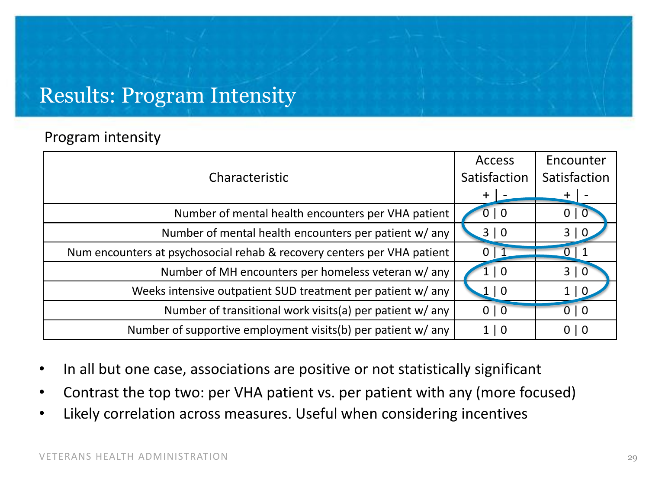#### Results: Program Intensity

#### Program intensity

| Characteristic                                                          | <b>Access</b><br>Satisfaction | Encounter<br>Satisfaction |
|-------------------------------------------------------------------------|-------------------------------|---------------------------|
|                                                                         | $+$ $\overline{\phantom{a}}$  | $+$                       |
| Number of mental health encounters per VHA patient                      | 0   0                         | 0 0                       |
| Number of mental health encounters per patient w/ any                   | 3 0                           | 3 0                       |
| Num encounters at psychosocial rehab & recovery centers per VHA patient | 0 <sup>1</sup>                | 0 <sup>1</sup>            |
| Number of MH encounters per homeless veteran w/ any                     | $\vert 0$                     | 3 0                       |
| Weeks intensive outpatient SUD treatment per patient w/ any             | 1 0                           | $1 \mid 0$                |
| Number of transitional work visits(a) per patient w/ any                | 0   0                         | 0   0                     |
| Number of supportive employment visits(b) per patient w/ any            | 1 0                           | 0   0                     |

- In all but one case, associations are positive or not statistically significant
- Contrast the top two: per VHA patient vs. per patient with any (more focused)
- Likely correlation across measures. Useful when considering incentives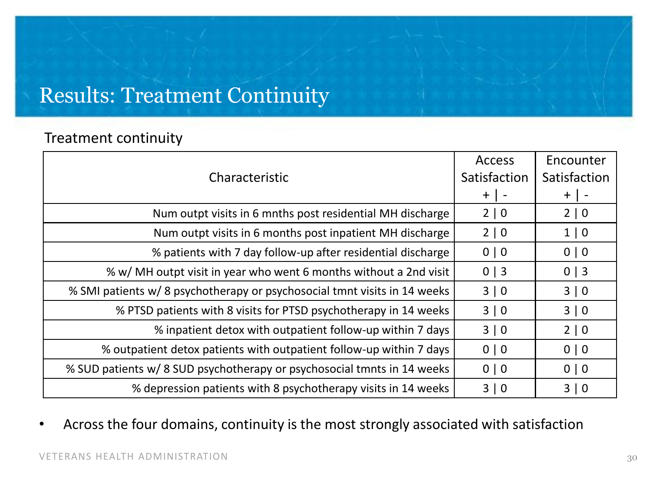## Results: Treatment Continuity

#### Treatment continuity

|                                                                           | <b>Access</b> | Encounter    |
|---------------------------------------------------------------------------|---------------|--------------|
| Characteristic                                                            | Satisfaction  | Satisfaction |
|                                                                           | $+$   -       | $+$          |
| Num outpt visits in 6 mnths post residential MH discharge                 | $2 \mid 0$    | $2 \mid 0$   |
| Num outpt visits in 6 months post inpatient MH discharge                  | 2 0           | 1 0          |
| % patients with 7 day follow-up after residential discharge               | 0   0         | 0   0        |
| % w/ MH outpt visit in year who went 6 months without a 2nd visit         | $0 \mid 3$    | $0 \mid 3$   |
| % SMI patients w/ 8 psychotherapy or psychosocial tmnt visits in 14 weeks | 3 0           | 3   0        |
| % PTSD patients with 8 visits for PTSD psychotherapy in 14 weeks          | 3 0           | 3   0        |
| % inpatient detox with outpatient follow-up within 7 days                 | 3 0           | 2 0          |
| % outpatient detox patients with outpatient follow-up within 7 days       | 0   0         | 0   0        |
| % SUD patients w/ 8 SUD psychotherapy or psychosocial tmnts in 14 weeks   | 0   0         | 0   0        |
| % depression patients with 8 psychotherapy visits in 14 weeks             | 3 0           | 3 0          |

• Across the four domains, continuity is the most strongly associated with satisfaction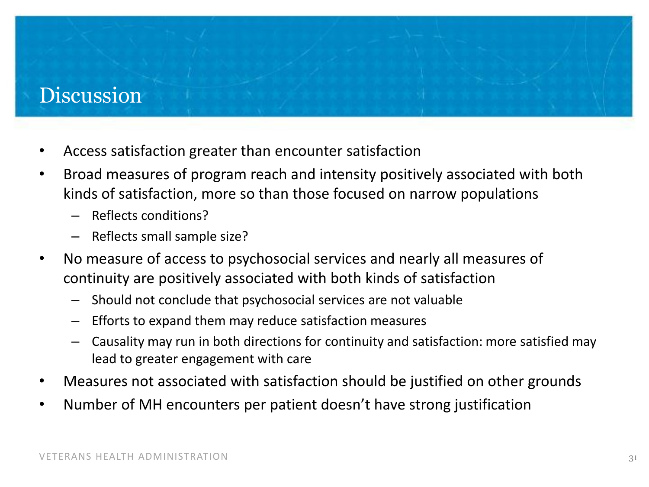#### Discussion

- Access satisfaction greater than encounter satisfaction
- • Broad measures of program reach and intensity positively associated with both kinds of satisfaction, more so than those focused on narrow populations
	- Reflects conditions?
	- Reflects small sample size?
- • No measure of access to psychosocial services and nearly all measures of continuity are positively associated with both kinds of satisfaction
	- Should not conclude that psychosocial services are not valuable
	- Efforts to expand them may reduce satisfaction measures
	- lead to greater engagement with care Causality may run in both directions for continuity and satisfaction: more satisfied may
- Measures not associated with satisfaction should be justified on other grounds
- Number of MH encounters per patient doesn't have strong justification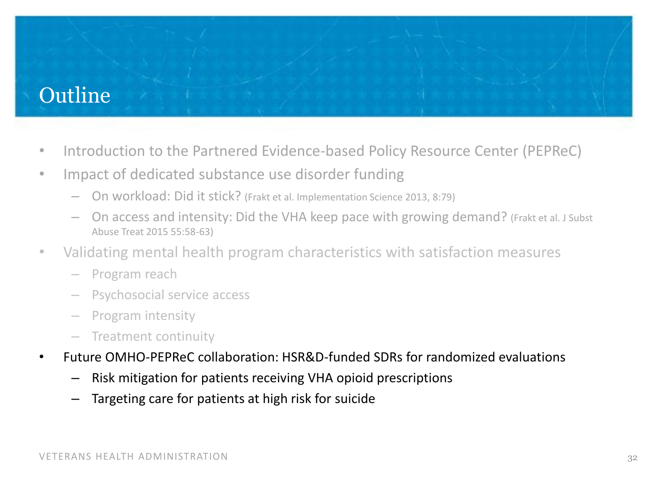## Outline

- Introduction to the Partnered Evidence-based Policy Resource Center (PEPReC)
- Impact of dedicated substance use disorder funding
	- On workload: Did it stick? (Frakt et al. Implementation Science 2013, 8:79)
	- On access and intensity: Did the VHA keep pace with growing demand? (Frakt et al. J Subst Abuse Treat 2015 55:58-63)
- • Validating mental health program characteristics with satisfaction measures
	- – Program reach
	- Psychosocial service access
	- Program intensity
	- Treatment continuity
- Future OMHO-PEPReC collaboration: HSR&D-funded SDRs for randomized evaluations
	- Risk mitigation for patients receiving VHA opioid prescriptions
	- $-$  Targeting care for patients at high risk for suicide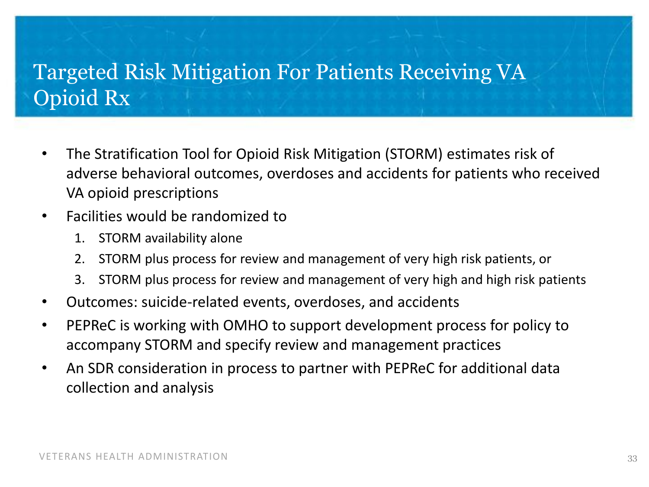## Targeted Risk Mitigation For Patients Receiving VA Opioid Rx

- The Stratification Tool for Opioid Risk Mitigation (STORM) estimates risk of adverse behavioral outcomes, overdoses and accidents for patients who received VA opioid prescriptions
- • Facilities would be randomized to
	- 1. STORM availability alone
	- 2. STORM plus process for review and management of very high risk patients, or
	- 3. STORM plus process for review and management of very high and high risk patients
- Outcomes: suicide-related events, overdoses, and accidents
- PEPReC is working with OMHO to support development process for policy to accompany STORM and specify review and management practices
- An SDR consideration in process to partner with PEPReC for additional data collection and analysis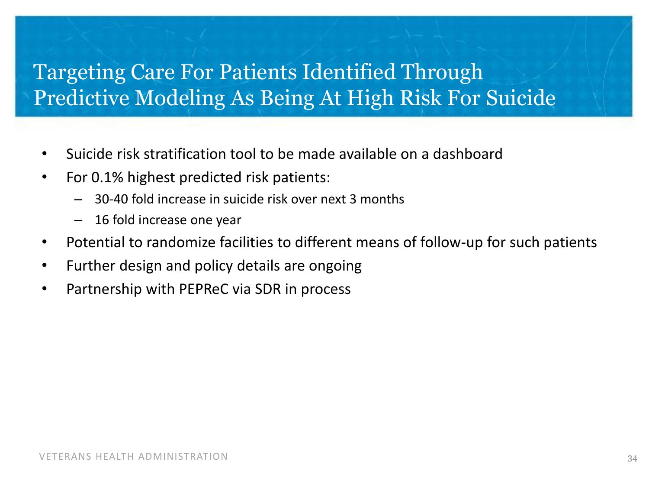## Targeting Care For Patients Identified Through Predictive Modeling As Being At High Risk For Suicide

- Suicide risk stratification tool to be made available on a dashboard
- For 0.1% highest predicted risk patients:
	- 30-40 fold increase in suicide risk over next 3 months
	- 16 fold increase one year
- Potential to randomize facilities to different means of follow-up for such patients
- Further design and policy details are ongoing
- Partnership with PEPReC via SDR in process